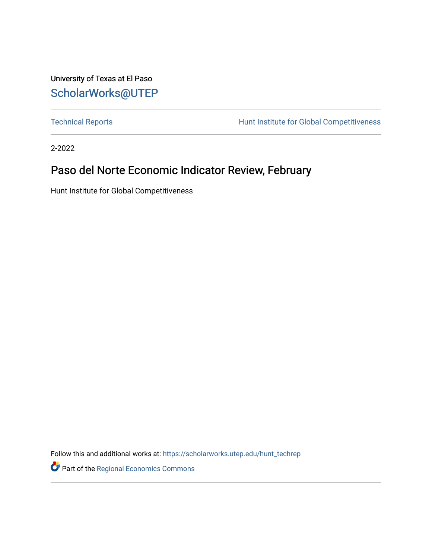University of Texas at El Paso [ScholarWorks@UTEP](https://scholarworks.utep.edu/)

[Technical Reports](https://scholarworks.utep.edu/hunt_techrep) **Hunt Institute for Global Competitiveness** 

2-2022

### Paso del Norte Economic Indicator Review, February

Hunt Institute for Global Competitiveness

Follow this and additional works at: [https://scholarworks.utep.edu/hunt\\_techrep](https://scholarworks.utep.edu/hunt_techrep?utm_source=scholarworks.utep.edu%2Fhunt_techrep%2F28&utm_medium=PDF&utm_campaign=PDFCoverPages)

Part of the [Regional Economics Commons](http://network.bepress.com/hgg/discipline/1307?utm_source=scholarworks.utep.edu%2Fhunt_techrep%2F28&utm_medium=PDF&utm_campaign=PDFCoverPages)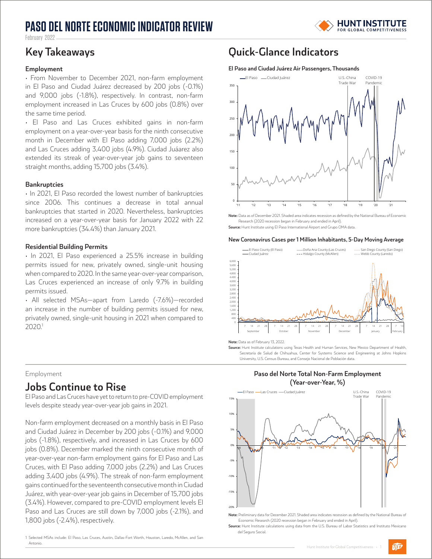### **PASO DEL NORTE ECONOMIC INDICATOR REVIEW**



Fehruary 2022

#### **Employment**

• From November to December 2021, non-farm employment in El Paso and Ciudad Juárez decreased by 200 jobs (-0.1%) and 9,000 jobs (-1.8%), respectively. In contrast, non-farm employment increased in Las Cruces by 600 jobs (0.8%) over the same time period.

• El Paso and Las Cruces exhibited gains in non-farm employment on a year-over-year basis for the ninth consecutive month in December with El Paso adding 7,000 jobs (2.2%) and Las Cruces adding 3,400 jobs (4.9%). Ciudad Juáarez also extended its streak of year-over-year job gains to seventeen straight months, adding 15,700 jobs (3.4%).

#### **Bankruptcies**

• In 2021, El Paso recorded the lowest number of bankruptcies since 2006. This continues a decrease in total annual bankruptcies that started in 2020. Nevertheless, bankruptcies increased on a year-over-year basis for January 2022 with 22 more bankruptcies (34.4%) than January 2021.

#### **Residential Building Permits**

• In 2021, El Paso experienced a 25.5% increase in building permits issued for new, privately owned, single-unit housing when compared to 2020. In the same year-over-year comparison, Las Cruces experienced an increase of only 9.7% in building permits issued.

• All selected MSAs—apart from Laredo (-7.6%)—recorded an increase in the number of building permits issued for new, privately owned, single-unit housing in 2021 when compared to 2020.1

#### Employment

### **Jobs Continue to Rise**

El Paso and Las Cruces have yet to return to pre-COVID employment levels despite steady year-over-year job gains in 2021.

Non-farm employment decreased on a monthly basis in El Paso and Ciudad Juárez in December by 200 jobs (-0.1%) and 9,000 jobs (-1.8%), respectively, and increased in Las Cruces by 600 jobs (0.8%). December marked the ninth consecutive month of year-over-year non-farm employment gains for El Paso and Las Cruces, with El Paso adding 7,000 jobs (2.2%) and Las Cruces adding 3,400 jobs (4.9%). The streak of non-farm employment gains continued for the seventeenth consecutive month in Ciudad Juárez, with year-over-year job gains in December of 15,700 jobs (3.4%). However, compared to pre-COVID employment levels El Paso and Las Cruces are still down by 7,000 jobs (-2.1%), and 1,800 jobs (-2.4%), respectively.

#### 1 Selected MSAs include: El Paso, Las Cruces, Austin, Dallas-Fort Worth, Houston, Laredo, McAllen, and San Antonio.

### **Key Takeaways Quick-Glance Indicators**

#### **El Paso and Ciudad Juárez Air Passengers, Thousands**



**Note:** Data as of December 2021. Shaded area indicates recession as defined by the National Bureau of Economic Research (2020 recession began in February and ended in April).

**Source:** Hunt Institute using El Paso International Airport and Grupo OMA data.

#### **New Coronavirus Cases per 1 Million Inhabitants, 5-Day Moving Average**



**Note:** Data as of February 13, 2022.

**Source:** Hunt Institute calculations using Texas Health and Human Services, New Mexico Department of Health, Secretaría de Salud de Chihuahua, Center for Systems Science and Engineering at Johns Hopkins University, U.S. Census Bureau, and Consejo Nacional de Población data.

#### **Paso del Norte Total Non-Farm Employment (Year-over-Year, %)**



**Note:** Preliminary data for December 2021. Shaded area indicates recession as defined by the National Bureau of Economic Research (2020 recession began in February and ended in April).

**Source:** Hunt Institute calculations using data from the U.S. Bureau of Labor Statistics and Instituto Mexicano del Seguro Social.

UIEP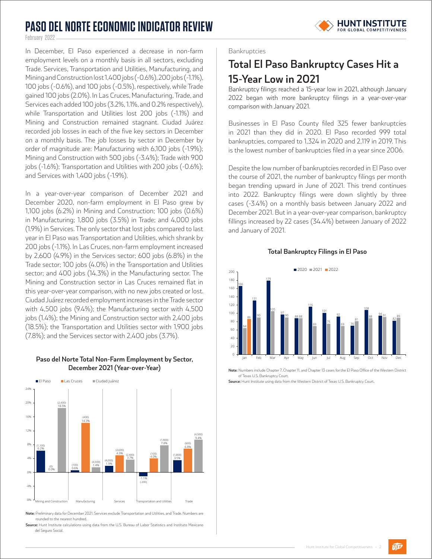## **PASO DEL NORTE ECONOMIC INDICATOR REVIEW**



February 2022

In December, El Paso experienced a decrease in non-farm employment levels on a monthly basis in all sectors, excluding Trade. Services, Transportation and Utilities, Manufacturing, and Mining and Construction lost 1,400 jobs (-0.6%), 200 jobs (-1.1%), 100 jobs (-0.6%), and 100 jobs (-0.5%), respectively, while Trade gained 100 jobs (2.0%). In Las Cruces, Manufacturing, Trade, and Services each added 100 jobs (3.2%, 1.1%, and 0.2% respectively), while Transportation and Utilities lost 200 jobs (-1.1%) and Mining and Construction remained stagnant. Ciudad Juárez recorded job losses in each of the five key sectors in December on a monthly basis. The job losses by sector in December by order of magnitude are: Manufacturing with 6,100 jobs (-1.9%); Mining and Construction with 500 jobs (-3.4%); Trade with 900 jobs (-1.6%); Transportation and Utilities with 200 jobs (-0.6%); and Services with 1,400 jobs (-1.9%).

In a year-over-year comparison of December 2021 and December 2020, non-farm employment in El Paso grew by 1,100 jobs (6.2%) in Mining and Construction; 100 jobs (0.6%) in Manufacturing; 1,800 jobs (3.5%) in Trade; and 4,000 jobs (1.9%) in Services. The only sector that lost jobs compared to last year in El Paso was Transportation and Utilities, which shrank by 200 jobs (-1.1%). In Las Cruces, non-farm employment increased by 2,600 (4.9%) in the Services sector; 600 jobs (6.8%) in the Trade sector; 100 jobs (4.0%) in the Transportation and Utilities sector; and 400 jobs (14.3%) in the Manufacturing sector. The Mining and Construction sector in Las Cruces remained flat in this year-over-year comparison, with no new jobs created or lost. Ciudad Juárez recorded employment increases in the Trade sector with 4,500 jobs (9.4%); the Manufacturing sector with 4,500 jobs (1.4%); the Mining and Construction sector with 2,400 jobs (18.5%); the Transportation and Utilities sector with 1,900 jobs (7.8%); and the Services sector with 2,400 jobs (3.7%).

### **Paso del Norte Total Non-Farm Employment by Sector, December 2021 (Year-over-Year)**



**Note:** Preliminary data for December 2021. Services exclude Transportation and Utilities, and Trade. Numbers are rounded to the nearest hundred.

**Source:** Hunt Institute calculations using data from the U.S. Bureau of Labor Statistics and Instituto Mexicano del Seguro Social.

### Bankruptcies

### **Total El Paso Bankruptcy Cases Hit a 15-Year Low in 2021**

Bankruptcy filings reached a 15-year low in 2021, although January 2022 began with more bankruptcy filings in a year-over-year comparison with January 2021.

Businesses in El Paso County filed 325 fewer bankruptcies in 2021 than they did in 2020. El Paso recorded 999 total bankruptcies, compared to 1,324 in 2020 and 2,119 in 2019. This is the lowest number of bankruptcies filed in a year since 2006.

Despite the low number of bankruptcies recorded in El Paso over the course of 2021, the number of bankruptcy filings per month began trending upward in June of 2021. This trend continues into 2022. Bankruptcy filings were down slightly by three cases (-3.4%) on a monthly basis between January 2022 and December 2021. But in a year-over-year comparison, bankruptcy fillings increased by 22 cases (34.4%) between January of 2022 and January of 2021.

#### **Total Bankruptcy Filings in El Paso**



**Note:** Numbers include Chapter 7, Chapter 11, and Chapter 13 cases for the El Paso Office of the Western District of Texas U.S. Bankruptcy Court.

**Source:** Hunt Institute using data from the Western District of Texas U.S. Bankruptcy Court.

 $\widehat{U|E^p}$